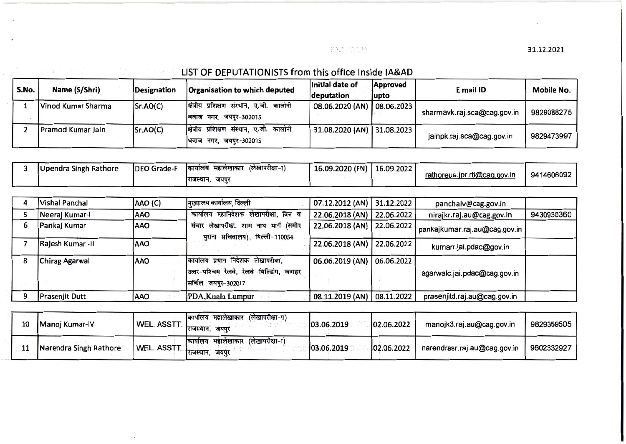PAJ 12022

31.12.2021

## : . LIST OF DEPUTATIONISTS from this office Inside IA&AD

V.

 $\sim$ 

 $\mathbf{I}$  ,  $\mathbf{A}$  ,  $\mathbf{A}$ 

 $\frac{48}{2} - \frac{1}{2} - \frac{1}{2} \frac{4}{2}$ 

| S.No. | Name (S/Shri)      | Designation | Organisation to which deputed                                           | Initial date of<br>deputation | <b>Approved</b><br> upto | E mail ID                   | <b>Mobile No.</b> |
|-------|--------------------|-------------|-------------------------------------------------------------------------|-------------------------------|--------------------------|-----------------------------|-------------------|
|       | Vinod Kumar Sharma | Sr.AO(C)    | क्षित्रीय प्रशिक्षण संस्थान, ए.जी. कालोनी<br>बिजाज नगर, जयपुर-302015    | 08.06.2020 (AN)   08.06.2023  |                          | sharmavk.raj.sca@cag.gov.in | 9829088275        |
|       | Pramod Kumar Jain  | Sr.AO(C)    | कालोनी<br>क्षित्रीय प्रशिक्षण संस्थान, ए.जी.<br>बिजाज नगर, जयपुर-302015 | 31.08.2020 (AN) 31.08.2023    |                          | jainpk.raj.sca@cag.gov.in   | 9829473997        |

| Upendra Singh Rathore | <b>IDEO Grade-F</b> | (लेखापरीक्षा-ा<br>महालखाकार<br>कायालय | 16.09.2020 (FN) | 16.09.2022 | rathoreus.jpr.rti@cag.gov.in | 9414606092 |
|-----------------------|---------------------|---------------------------------------|-----------------|------------|------------------------------|------------|
|                       |                     | राजस्थान,<br>जयपुर                    |                 |            |                              |            |

|   | Vishal Panchal        | AAO (C)     | मुख्यालय कार्यालय, दिल्ली                                                                                | 07.12.2012 (AN) 31.12.2022   |            | panchalv@cag.gov.in           |            |
|---|-----------------------|-------------|----------------------------------------------------------------------------------------------------------|------------------------------|------------|-------------------------------|------------|
|   | Neeraj Kumar-I        | <b>AAO</b>  | कार्यालय महानिदेशक लेखापरीक्षा, वित्त व                                                                  | 22.06.2018 (AN) 22.06.2022   |            | nirajkr.raj.au@cag.gov.in     | 9430935360 |
|   | Pankaj Kumar          | IAAO        | संचार लेखापरीक्षा, शाम नाथ मार्ग (समीप<br>पुराना सचिवालय), दिल्ली-110054                                 | 22.06.2018 (AN)   22.06.2022 |            | pankajkumar.raj.au@cag.gov.in |            |
|   | Rajesh Kumar -II      | <b>AAO</b>  |                                                                                                          | 22.06.2018 (AN)              | 22.06.2022 | kumarr.jai.pdac@gov.in        |            |
| 8 | <b>Chirag Agarwal</b> | <b>JAAO</b> | कार्यालय प्रधान निदेशक लेखापरीक्षा.<br>उत्तर-पश्चिम रेलवे, रेलवे बिल्डिंग, जवाहर<br>सिर्किल जयपुर-302017 | 06.06.2019 (AN) 06.06.2022   |            | agarwalc.jai.pdac@cag.gov.in  |            |
|   | Prasenjit Dutt        | AAO         | PDA, Kuala Lumpur                                                                                        | 08.11.2019 (AN) 08.11.2022   |            | prasenjitd.raj.au@cag.gov.in  |            |

| 10 | Manoj Kumar-IV         | <b>WEL. ASSTT.</b> | (लेखापरीक्षा-π)<br>कायालय महालखाकार<br>राजस्थान. जयपर       | 03.06.2019  | 02.06.2022  | manojk3.raj.au@cag.gov.in    | 9829359505 |
|----|------------------------|--------------------|-------------------------------------------------------------|-------------|-------------|------------------------------|------------|
|    | Narendra Singh Rathore | <b>WEL. ASSTT.</b> | (लेखापरीक्षा-ा)<br>महालेखाकार<br>कार्यालय<br>राजस्थान. जयपर | 103.06.2019 | 102.06.2022 | narendrasr.raj.au@cag.gov.in | 9602332927 |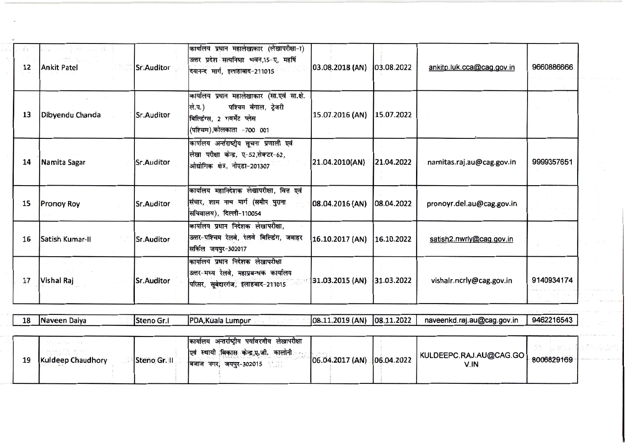| <b>ST 1</b><br>12 | <b>Ankit Patel</b> | Sr.Auditor        | कार्यालय प्रधान महालेखाकार (लेखापरीक्षा-ा)<br>उत्तर प्रदेश सत्यनिष्ठा भवन,15-ए, महर्षि<br>दयानन्द मार्ग, इलाहाबाद-211015                   | 03.08.2018 (AN)             | 03.08.2022 | ankitp.luk.cca@cag.gov.in      | 9660886666               |  |
|-------------------|--------------------|-------------------|--------------------------------------------------------------------------------------------------------------------------------------------|-----------------------------|------------|--------------------------------|--------------------------|--|
| 13                | Dibyendu Chanda    | Sr.Auditor        | कार्यालय प्रधान महालेखाकार (सा.एवं सा.क्षे.<br>ले.प.)<br>पश्चिम बंगाल, ट्रेजरी<br>बिल्डिंग्स, 2 गवर्मेट प्लेस<br>(पश्चिम),कोलकाता -700 001 | 15.07.2016 (AN)             | 15.07.2022 |                                |                          |  |
| 14                | Namita Sagar       | <b>Sr.Auditor</b> | कार्यालय अर्न्तराष्ट्रीय सूचना प्रणाली एवं<br>लेखा परीक्षा केन्द्र, ए-52,सेक्टर-62,<br>ओद्योगिक क्षेत्र, नोएडा-201307                      | 21.04.2010(AN)              | 21.04.2022 | namitas.raj.au@cag.gov.in      | 9999357651               |  |
| 15                | <b>Pronoy Roy</b>  | Sr.Auditor        | कार्यालय महानिदेशक लेखापरीक्षा, वित्त एवं<br>संचार, शाम नाथ मार्ग (समीप पुराना<br>सचिवालय), दिल्ली-110054                                  | 08.04.2016 (AN)             | 08.04.2022 | pronoyr.del.au@cag.gov.in      |                          |  |
| 16                | Satish Kumar-II    | <b>Sr.Auditor</b> | कार्यालय प्रधान निदेशक लेखापरीक्षा,<br>उत्तर-पश्चिम रेलवे, रेलवे बिल्डिंग, जवाहर<br>सर्किल जयपुर-302017                                    | 16.10.2017 (AN)             | 16.10.2022 | satish2.nwrly@cag.gov.in       |                          |  |
| 17                | Vishal Raj         | <b>Sr.Auditor</b> | कार्यालय प्रधान निदेशक लेखापरीक्षा<br>उत्तर-मध्य रेलवे, महाप्रबन्धक कार्यालय<br>परिसर, सूबेदारगंज, इलाहबाद-211015                          | $\frac{1}{31.03.2015}$ (AN) | 31.03.2022 | vishalr.ncrly@cag.gov.in       | 9140934174               |  |
|                   |                    |                   |                                                                                                                                            |                             |            |                                |                          |  |
| 18                | Naveen Daiya       | Steno Gr.I        | PDA, Kuala Lumpur                                                                                                                          | 08.11.2019 (AN)             | 08.11.2022 | naveenkd.raj.au@cag.gov.in     | 9462216543               |  |
| 19                | Kuldeep Chaudhory  | Steno Gr. II      | कार्यालय अन्तर्राष्ट्रीय पर्यावरणीय लेखापरीक्षा<br>एवं स्थायी विकास केन्द्र,ए.जी. कालोनी<br>बिजाज नगर, जयपुर-302015                        | 06.04.2017 (AN)             | 06.04.2022 | KULDEEPC.RAJ.AU@CAG.GO<br>V.IN | 52 B. Chie<br>8006829169 |  |

 $\sim$ 

j i standardi i standardi i standardi i standardi i standardi i standardi i standardi i standardi i standardi